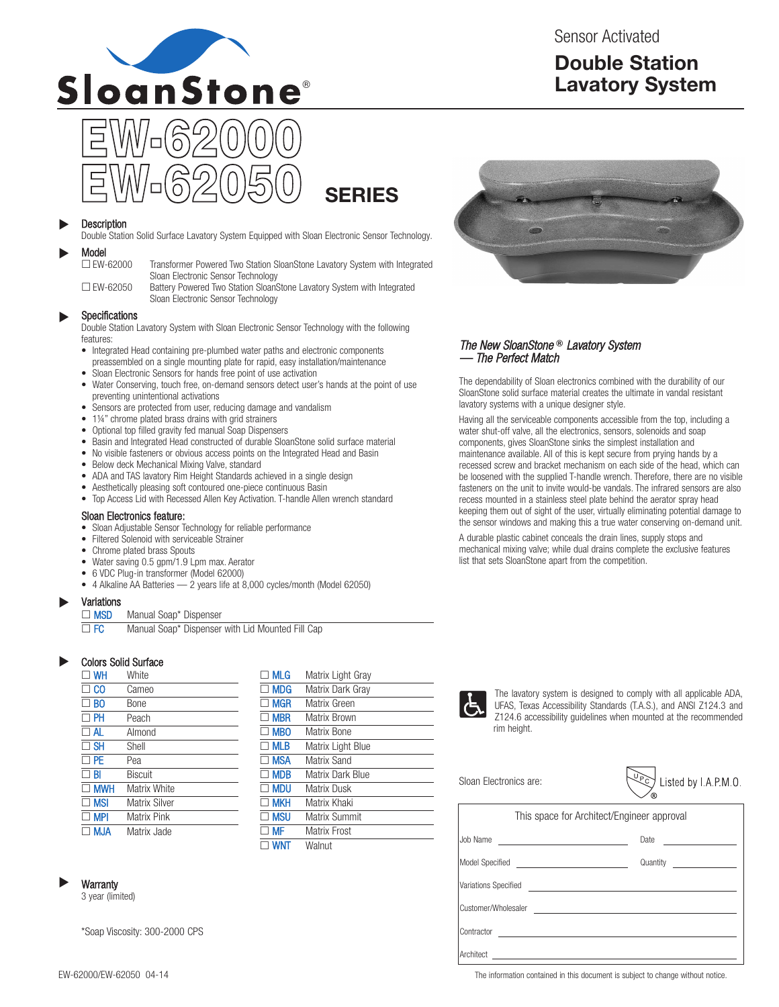

Sensor Activated

# **Double Station Lavatory System**

# **SERIES**

#### **Description**  $\blacktriangleright$

Double Station Solid Surface Lavatory System Equipped with Sloan Electronic Sensor Technology.

### Model<br>
EW-62000  $\blacktriangleright$

Transformer Powered Two Station SloanStone Lavatory System with Integrated Sloan Electronic Sensor Technology

□ EW-62050 Battery Powered Two Station SloanStone Lavatory System with Integrated Sloan Electronic Sensor Technology

#### Specifications  $\blacktriangleright$

Double Station Lavatory System with Sloan Electronic Sensor Technology with the following features:

- Integrated Head containing pre-plumbed water paths and electronic components preassembled on a single mounting plate for rapid, easy installation/maintenance
- Sloan Electronic Sensors for hands free point of use activation
- Water Conserving, touch free, on-demand sensors detect user's hands at the point of use preventing unintentional activations
- Sensors are protected from user, reducing damage and vandalism
- 1¼" chrome plated brass drains with grid strainers
- Optional top filled gravity fed manual Soap Dispensers
- Basin and Integrated Head constructed of durable SloanStone solid surface material<br>• No visible fasteners or obvious access points on the Integrated Head and Basin
- No visible fasteners or obvious access points on the Integrated Head and Basin
- Below deck Mechanical Mixing Valve, standard
- ADA and TAS lavatory Rim Height Standards achieved in a single design
- Aesthetically pleasing soft contoured one-piece continuous Basin
- Top Access Lid with Recessed Allen Key Activation. T-handle Allen wrench standard

### Sloan Electronics feature:

- Sloan Adjustable Sensor Technology for reliable performance
- Filtered Solenoid with serviceable Strainer
- Chrome plated brass Spouts
- Water saving 0.5 gpm/1.9 Lpm max. Aerator
- 6 VDC Plug-in transformer (Model 62000)
- 4 Alkaline AA Batteries  $-2$  years life at 8,000 cycles/month (Model 62050)

#### Variations  $\blacktriangleright$

□ MSD Manual Soap\* Dispenser

□ FC Manual Soap\* Dispenser with Lid Mounted Fill Cap

#### Colors Solid Surface  $\blacktriangleright$

| <b>WH</b>      | White              |
|----------------|--------------------|
| CO.            | Cameo              |
| B <sub>0</sub> | Bone               |
| PH             | Peach              |
| $\Box$ al      | Almond             |
| $\Box$ SH      | Shell              |
| <b>PE</b>      | Pea                |
| BI             | Biscuit            |
| <b>MWH</b>     | Matrix White       |
| <b>MSI</b>     | Matrix Silver      |
| MPI            | <b>Matrix Pink</b> |
| M.JA           | Matrix Jade        |

|              | <b>MLG</b> | Matrix Light Gray |
|--------------|------------|-------------------|
|              | $\Box$ MDG | Matrix Dark Gray  |
| г            | Mgr        | Matrix Green      |
| П            | <b>MBR</b> | Matrix Brown      |
| $\mathsf{L}$ | <b>MBO</b> | Matrix Bone       |
|              | <b>MLB</b> | Matrix Light Blue |
| $\mathbf{L}$ | <b>MSA</b> | Matrix Sand       |
|              | <b>MDB</b> | Matrix Dark Blue  |
|              | <b>MDU</b> | Matrix Dusk       |
| П            | <b>MKH</b> | Matrix Khaki      |
|              | <b>MSU</b> | Matrix Summit     |
|              | MF         | Matrix Frost      |
|              | <b>WNT</b> | Walnut            |
|              |            |                   |



3 year (limited)

\*Soap Viscosity: 300-2000 CPS



### The New SloanStone **®** Lavatory System — The Perfect Match

The dependability of Sloan electronics combined with the durability of our SloanStone solid surface material creates the ultimate in vandal resistant lavatory systems with a unique designer style.

Having all the serviceable components accessible from the top, including a water shut-off valve, all the electronics, sensors, solenoids and soap components, gives SloanStone sinks the simplest installation and maintenance available. All of this is kept secure from prying hands by a recessed screw and bracket mechanism on each side of the head, which can be loosened with the supplied T-handle wrench. Therefore, there are no visible fasteners on the unit to invite would-be vandals. The infrared sensors are also recess mounted in a stainless steel plate behind the aerator spray head keeping them out of sight of the user, virtually eliminating potential damage to the sensor windows and making this a true water conserving on-demand unit.

A durable plastic cabinet conceals the drain lines, supply stops and mechanical mixing valve; while dual drains complete the exclusive features list that sets SloanStone apart from the competition.



The lavatory system is designed to comply with all applicable ADA, UFAS, Texas Accessibility Standards (T.A.S.), and ANSI Z124.3 and Z124.6 accessibility guidelines when mounted at the recommended rim height.

Sloan Electronics are:

|  | Listed by I.A.P.M.O |
|--|---------------------|
|  |                     |

| This space for Architect/Engineer approval         |                                     |  |  |  |  |
|----------------------------------------------------|-------------------------------------|--|--|--|--|
|                                                    |                                     |  |  |  |  |
| Model Specified __________________________________ | Quantity <u>___________________</u> |  |  |  |  |
|                                                    |                                     |  |  |  |  |
| Customer/Wholesaler                                |                                     |  |  |  |  |
|                                                    |                                     |  |  |  |  |
| Architect                                          |                                     |  |  |  |  |

EW-62000/EW-62050 04-14 The information contained in this document is subject to change without notice.